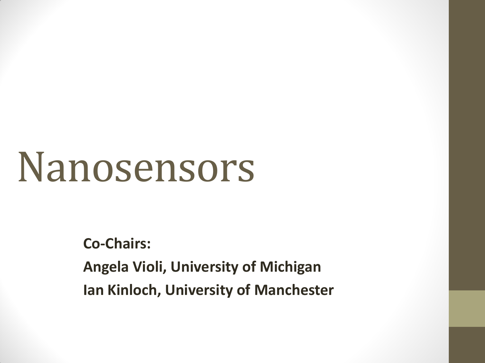# Nanosensors

**Co-Chairs:**

**Angela Violi, University of Michigan Ian Kinloch, University of Manchester**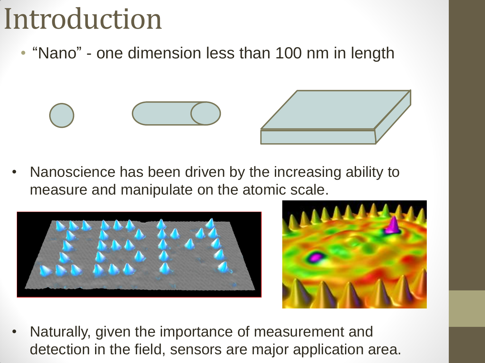### Introduction

• "Nano" - one dimension less than 100 nm in length







• Naturally, given the importance of measurement and detection in the field, sensors are major application area.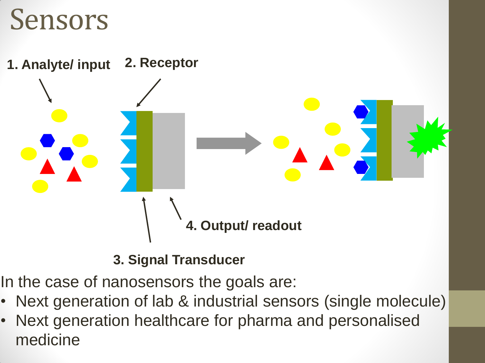#### Sensors



**3. Signal Transducer**

In the case of nanosensors the goals are:

- Next generation of lab & industrial sensors (single molecule)
- Next generation healthcare for pharma and personalised medicine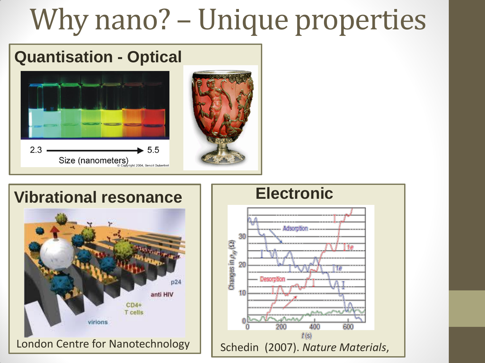## Why nano? – Unique properties

#### **Quantisation - Optical**





#### **Vibrational resonance | | Electronic**



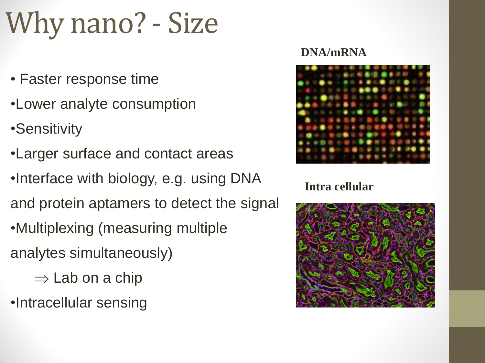### Why nano? - Size

- Faster response time
- •Lower analyte consumption
- •Sensitivity
- •Larger surface and contact areas
- •Interface with biology, e.g. using DNA and protein aptamers to detect the signal •Multiplexing (measuring multiple
- analytes simultaneously)
	- $\Rightarrow$  Lab on a chip
- •Intracellular sensing

#### **DNA/mRNA**



#### **Intra cellular**

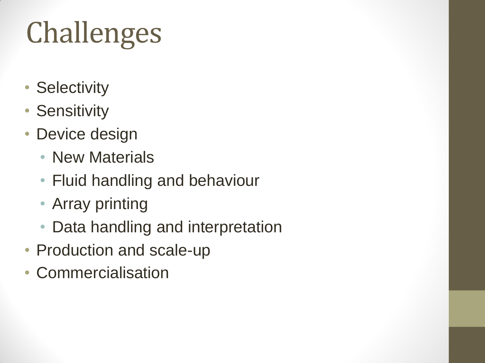# Challenges

- Selectivity
- Sensitivity
- Device design
	- New Materials
	- Fluid handling and behaviour
	- Array printing
	- Data handling and interpretation
- Production and scale-up
- Commercialisation